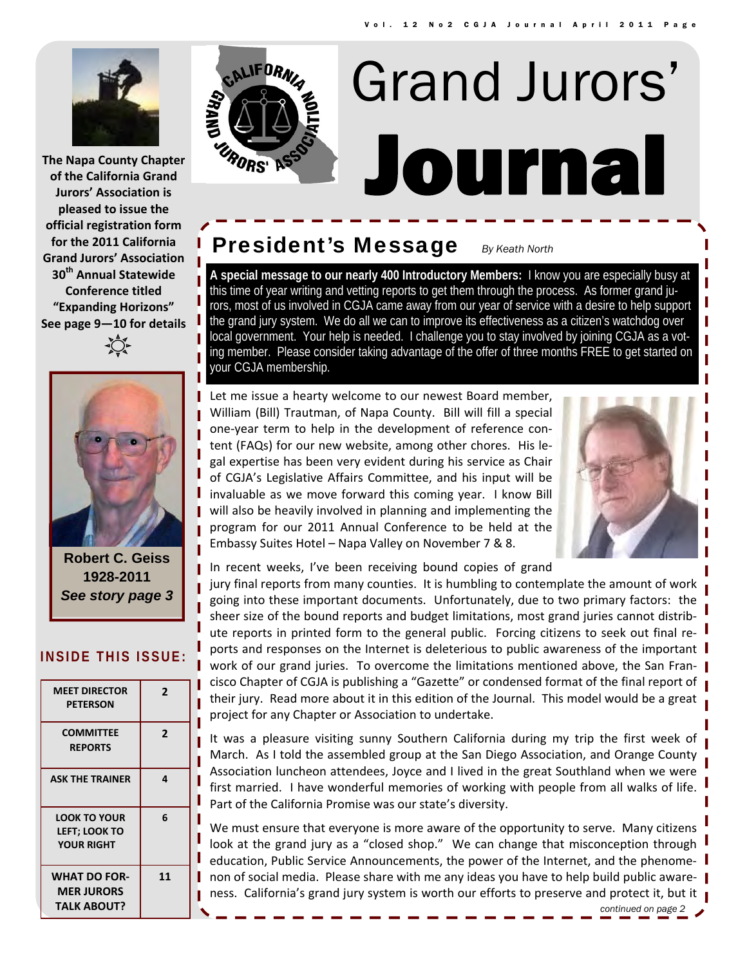

**The Napa County Chapter of the California Grand Jurors' Association is pleased to issue the official registration form for the 2011 California Grand Jurors' Association 30th Annual Statewide Conference titled "Expanding Horizons" See page 9—10 for details**



**Robert C. Geiss 1928-2011**  *See story page 3* 

#### **INSIDE THIS ISSUE:**

| <b>MEET DIRECTOR</b><br><b>PETERSON</b>                          | $\mathbf{2}$ |
|------------------------------------------------------------------|--------------|
| <b>COMMITTEE</b><br><b>REPORTS</b>                               | $\mathbf{2}$ |
| <b>ASK THE TRAINER</b>                                           | 4            |
| <b>LOOK TO YOUR</b><br><b>LEFT; LOOK TO</b><br><b>YOUR RIGHT</b> | 6            |
| <b>WHAT DO FOR-</b><br><b>MER JURORS</b><br><b>TALK ABOUT?</b>   | 11           |



# Journal Grand Jurors'

## **President's Message** *By Keath North*

**A special message to our nearly 400 Introductory Members:** I know you are especially busy at this time of year writing and vetting reports to get them through the process. As former grand jurors, most of us involved in CGJA came away from our year of service with a desire to help support the grand jury system. We do all we can to improve its effectiveness as a citizen's watchdog over local government. Your help is needed. I challenge you to stay involved by joining CGJA as a voting member. Please consider taking advantage of the offer of three months FREE to get started on your CGJA membership.

Let me issue a hearty welcome to our newest Board member, William (Bill) Trautman, of Napa County. Bill will fill a special one‐year term to help in the development of reference con‐ tent (FAQs) for our new website, among other chores. His le‐ gal expertise has been very evident during his service as Chair of CGJA's Legislative Affairs Committee, and his input will be invaluable as we move forward this coming year. I know Bill will also be heavily involved in planning and implementing the program for our 2011 Annual Conference to be held at the Embassy Suites Hotel – Napa Valley on November 7 & 8.



In recent weeks, I've been receiving bound copies of grand

jury final reports from many counties. It is humbling to contemplate the amount of work going into these important documents. Unfortunately, due to two primary factors: the sheer size of the bound reports and budget limitations, most grand juries cannot distrib‐ ute reports in printed form to the general public. Forcing citizens to seek out final reports and responses on the Internet is deleterious to public awareness of the important I work of our grand juries. To overcome the limitations mentioned above, the San Francisco Chapter of CGJA is publishing a "Gazette" or condensed format of the final report of their jury. Read more about it in this edition of the Journal. This model would be a great project for any Chapter or Association to undertake.

It was a pleasure visiting sunny Southern California during my trip the first week of March. As I told the assembled group at the San Diego Association, and Orange County Association luncheon attendees, Joyce and I lived in the great Southland when we were first married. I have wonderful memories of working with people from all walks of life. Part of the California Promise was our state's diversity.

We must ensure that everyone is more aware of the opportunity to serve. Many citizens look at the grand jury as a "closed shop." We can change that misconception through education, Public Service Announcements, the power of the Internet, and the phenome‐ non of social media. Please share with me any ideas you have to help build public awareness. California's grand jury system is worth our efforts to preserve and protect it, but it  $\mathbf{I}$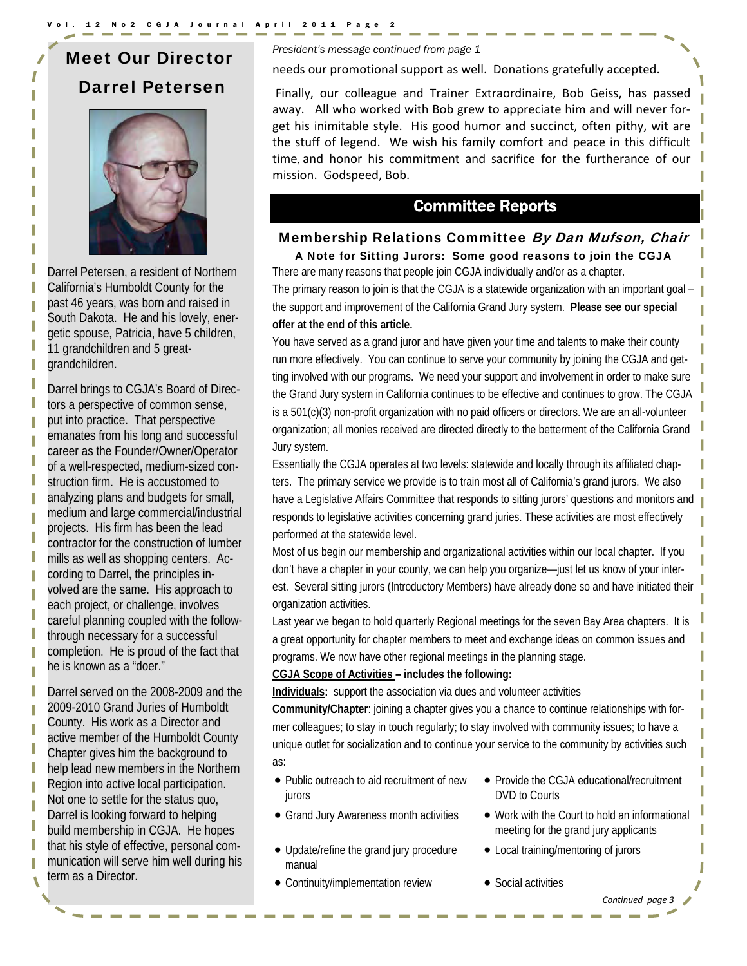## Meet Our Director Darrel Petersen



Darrel Petersen, a resident of Northern California's Humboldt County for the past 46 years, was born and raised in South Dakota. He and his lovely, energetic spouse, Patricia, have 5 children, 11 grandchildren and 5 greatgrandchildren.

Darrel brings to CGJA's Board of Directors a perspective of common sense, put into practice. That perspective emanates from his long and successful career as the Founder/Owner/Operator of a well-respected, medium-sized construction firm. He is accustomed to analyzing plans and budgets for small, medium and large commercial/industrial projects. His firm has been the lead contractor for the construction of lumber mills as well as shopping centers. According to Darrel, the principles involved are the same. His approach to each project, or challenge, involves careful planning coupled with the followthrough necessary for a successful completion. He is proud of the fact that he is known as a "doer."

Darrel served on the 2008-2009 and the 2009-2010 Grand Juries of Humboldt County. His work as a Director and active member of the Humboldt County Chapter gives him the background to help lead new members in the Northern Region into active local participation. Not one to settle for the status quo, Darrel is looking forward to helping build membership in CGJA. He hopes that his style of effective, personal communication will serve him well during his term as a Director.

*President's message continued from page 1* 

needs our promotional support as well. Donations gratefully accepted.

Finally, our colleague and Trainer Extraordinaire, Bob Geiss, has passed away. All who worked with Bob grew to appreciate him and will never forget his inimitable style. His good humor and succinct, often pithy, wit are the stuff of legend. We wish his family comfort and peace in this difficult time, and honor his commitment and sacrifice for the furtherance of our mission. Godspeed, Bob.

## Committee Reports

#### Membership Relations Committee By Dan Mufson, Chair A Note for Sitting Jurors: Some good reasons to join the CGJA

There are many reasons that people join CGJA individually and/or as a chapter.

The primary reason to join is that the CGJA is a statewide organization with an important goal – the support and improvement of the California Grand Jury system. **Please see our special offer at the end of this article.** 

You have served as a grand juror and have given your time and talents to make their county run more effectively. You can continue to serve your community by joining the CGJA and getting involved with our programs. We need your support and involvement in order to make sure the Grand Jury system in California continues to be effective and continues to grow. The CGJA is a 501(c)(3) non-profit organization with no paid officers or directors. We are an all-volunteer organization; all monies received are directed directly to the betterment of the California Grand Jury system.

Essentially the CGJA operates at two levels: statewide and locally through its affiliated chapters. The primary service we provide is to train most all of California's grand jurors. We also have a Legislative Affairs Committee that responds to sitting jurors' questions and monitors and responds to legislative activities concerning grand juries. These activities are most effectively performed at the statewide level.

Most of us begin our membership and organizational activities within our local chapter. If you don't have a chapter in your county, we can help you organize—just let us know of your interest. Several sitting jurors (Introductory Members) have already done so and have initiated their organization activities.

Last year we began to hold quarterly Regional meetings for the seven Bay Area chapters. It is a great opportunity for chapter members to meet and exchange ideas on common issues and programs. We now have other regional meetings in the planning stage.

#### **CGJA Scope of Activities – includes the following:**

**Individuals:** support the association via dues and volunteer activities

**Community/Chapter**: joining a chapter gives you a chance to continue relationships with former colleagues; to stay in touch regularly; to stay involved with community issues; to have a unique outlet for socialization and to continue your service to the community by activities such as:

- Public outreach to aid recruitment of new iurors
- 
- Update/refine the grand jury procedure manual
- Continuity/implementation review Social activities
- Provide the CGJA educational/recruitment DVD to Courts
- Grand Jury Awareness month activities Work with the Court to hold an informational meeting for the grand jury applicants

*Continued page 3*

- Local training/mentoring of jurors
-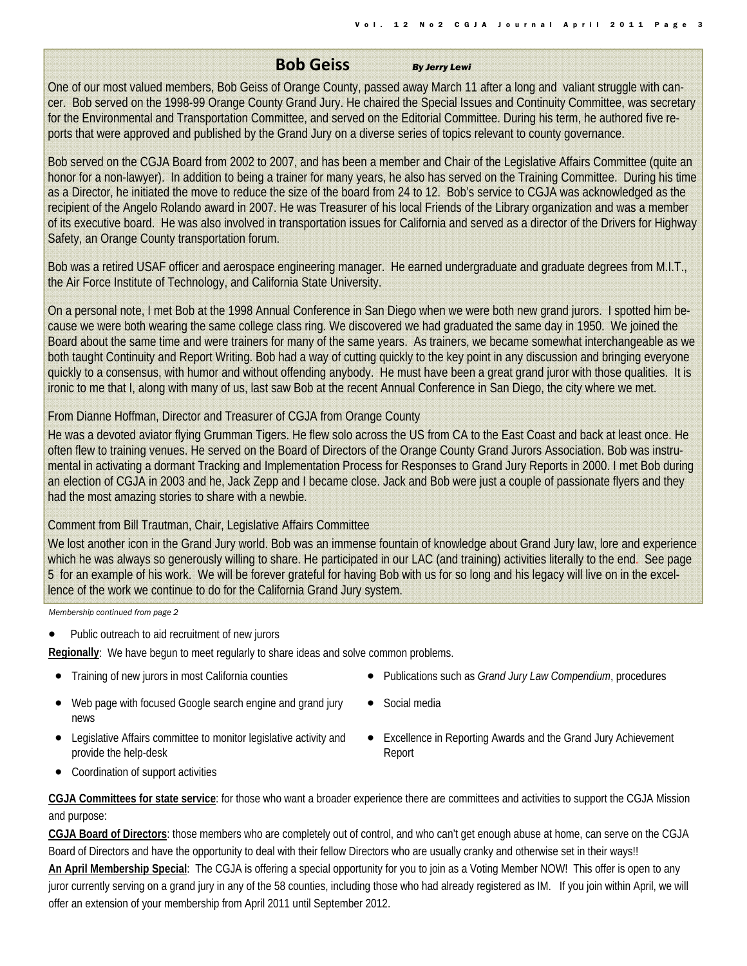#### **Bob Geiss** *By Jerry Lewi*

One of our most valued members, Bob Geiss of Orange County, passed away March 11 after a long and valiant struggle with cancer. Bob served on the 1998-99 Orange County Grand Jury. He chaired the Special Issues and Continuity Committee, was secretary for the Environmental and Transportation Committee, and served on the Editorial Committee. During his term, he authored five reports that were approved and published by the Grand Jury on a diverse series of topics relevant to county governance.

Bob served on the CGJA Board from 2002 to 2007, and has been a member and Chair of the Legislative Affairs Committee (quite an honor for a non-lawyer). In addition to being a trainer for many years, he also has served on the Training Committee. During his time as a Director, he initiated the move to reduce the size of the board from 24 to 12. Bob's service to CGJA was acknowledged as the recipient of the Angelo Rolando award in 2007. He was Treasurer of his local Friends of the Library organization and was a member of its executive board. He was also involved in transportation issues for California and served as a director of the Drivers for Highway Safety, an Orange County transportation forum.

Bob was a retired USAF officer and aerospace engineering manager. He earned undergraduate and graduate degrees from M.I.T., the Air Force Institute of Technology, and California State University.

On a personal note, I met Bob at the 1998 Annual Conference in San Diego when we were both new grand jurors. I spotted him because we were both wearing the same college class ring. We discovered we had graduated the same day in 1950. We joined the Board about the same time and were trainers for many of the same years. As trainers, we became somewhat interchangeable as we both taught Continuity and Report Writing. Bob had a way of cutting quickly to the key point in any discussion and bringing everyone quickly to a consensus, with humor and without offending anybody. He must have been a great grand juror with those qualities. It is ironic to me that I, along with many of us, last saw Bob at the recent Annual Conference in San Diego, the city where we met.

#### From Dianne Hoffman, Director and Treasurer of CGJA from Orange County

He was a devoted aviator flying Grumman Tigers. He flew solo across the US from CA to the East Coast and back at least once. He often flew to training venues. He served on the Board of Directors of the Orange County Grand Jurors Association. Bob was instrumental in activating a dormant Tracking and Implementation Process for Responses to Grand Jury Reports in 2000. I met Bob during an election of CGJA in 2003 and he, Jack Zepp and I became close. Jack and Bob were just a couple of passionate flyers and they had the most amazing stories to share with a newbie.

#### Comment from Bill Trautman, Chair, Legislative Affairs Committee

We lost another icon in the Grand Jury world. Bob was an immense fountain of knowledge about Grand Jury law, lore and experience which he was always so generously willing to share. He participated in our LAC (and training) activities literally to the end. See page 5 for an example of his work. We will be forever grateful for having Bob with us for so long and his legacy will live on in the excellence of the work we continue to do for the California Grand Jury system.

*Membership continued from page 2* 

Public outreach to aid recruitment of new jurors

**Regionally**: We have begun to meet regularly to share ideas and solve common problems.

- 
- Training of new jurors in most California counties Publications such as *Grand Jury Law Compendium*, procedures
	- Web page with focused Google search engine and grand jury news
		- Social media
- Legislative Affairs committee to monitor legislative activity and provide the help-desk
- Excellence in Reporting Awards and the Grand Jury Achievement Report

• Coordination of support activities

**CGJA Committees for state service**: for those who want a broader experience there are committees and activities to support the CGJA Mission and purpose:

**CGJA Board of Directors**: those members who are completely out of control, and who can't get enough abuse at home, can serve on the CGJA Board of Directors and have the opportunity to deal with their fellow Directors who are usually cranky and otherwise set in their ways!!

**An April Membership Special**: The CGJA is offering a special opportunity for you to join as a Voting Member NOW! This offer is open to any juror currently serving on a grand jury in any of the 58 counties, including those who had already registered as IM. If you join within April, we will offer an extension of your membership from April 2011 until September 2012.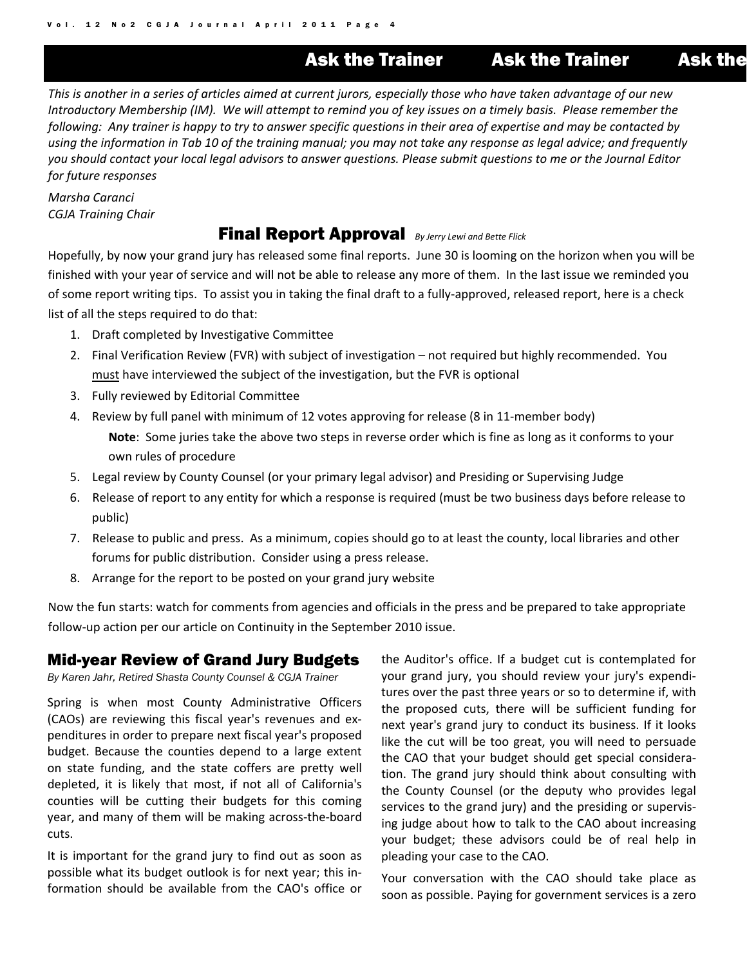## Ask the Trainer Ask the Trainer Ask the

This is another in a series of articles aimed at current jurors, especially those who have taken advantage of our new Introductory Membership (IM). We will attempt to remind you of key issues on a timely basis. Please remember the following: Any trainer is happy to try to answer specific questions in their area of expertise and may be contacted by using the information in Tab 10 of the training manual; you may not take any response as legal advice; and frequently you should contact your local legal advisors to answer questions. Please submit questions to me or the Journal Editor *for future responses*

*Marsha Caranci CGJA Training Chair*

### Final Report Approval *By Jerry Lewi and Bette Flick*

Hopefully, by now your grand jury has released some final reports. June 30 is looming on the horizon when you will be finished with your year of service and will not be able to release any more of them. In the last issue we reminded you of some report writing tips. To assist you in taking the final draft to a fully‐approved, released report, here is a check list of all the steps required to do that:

- 1. Draft completed by Investigative Committee
- 2. Final Verification Review (FVR) with subject of investigation not required but highly recommended. You must have interviewed the subject of the investigation, but the FVR is optional
- 3. Fully reviewed by Editorial Committee
- 4. Review by full panel with minimum of 12 votes approving for release (8 in 11-member body) **Note**: Some juries take the above two steps in reverse order which is fine as long as it conforms to your own rules of procedure
- 5. Legal review by County Counsel (or your primary legal advisor) and Presiding or Supervising Judge
- 6. Release of report to any entity for which a response is required (must be two business days before release to public)
- 7. Release to public and press. As a minimum, copies should go to at least the county, local libraries and other forums for public distribution. Consider using a press release.
- 8. Arrange for the report to be posted on your grand jury website

Now the fun starts: watch for comments from agencies and officials in the press and be prepared to take appropriate follow-up action per our article on Continuity in the September 2010 issue.

### Mid-year Review of Grand Jury Budgets

*By Karen Jahr, Retired Shasta County Counsel & CGJA Trainer* 

Spring is when most County Administrative Officers (CAOs) are reviewing this fiscal year's revenues and ex‐ penditures in order to prepare next fiscal year's proposed budget. Because the counties depend to a large extent on state funding, and the state coffers are pretty well depleted, it is likely that most, if not all of California's counties will be cutting their budgets for this coming year, and many of them will be making across‐the‐board cuts.

It is important for the grand jury to find out as soon as possible what its budget outlook is for next year; this in‐ formation should be available from the CAO's office or

the Auditor's office. If a budget cut is contemplated for your grand jury, you should review your jury's expendi‐ tures over the past three years or so to determine if, with the proposed cuts, there will be sufficient funding for next year's grand jury to conduct its business. If it looks like the cut will be too great, you will need to persuade the CAO that your budget should get special considera‐ tion. The grand jury should think about consulting with the County Counsel (or the deputy who provides legal services to the grand jury) and the presiding or supervising judge about how to talk to the CAO about increasing your budget; these advisors could be of real help in pleading your case to the CAO.

Your conversation with the CAO should take place as soon as possible. Paying for government services is a zero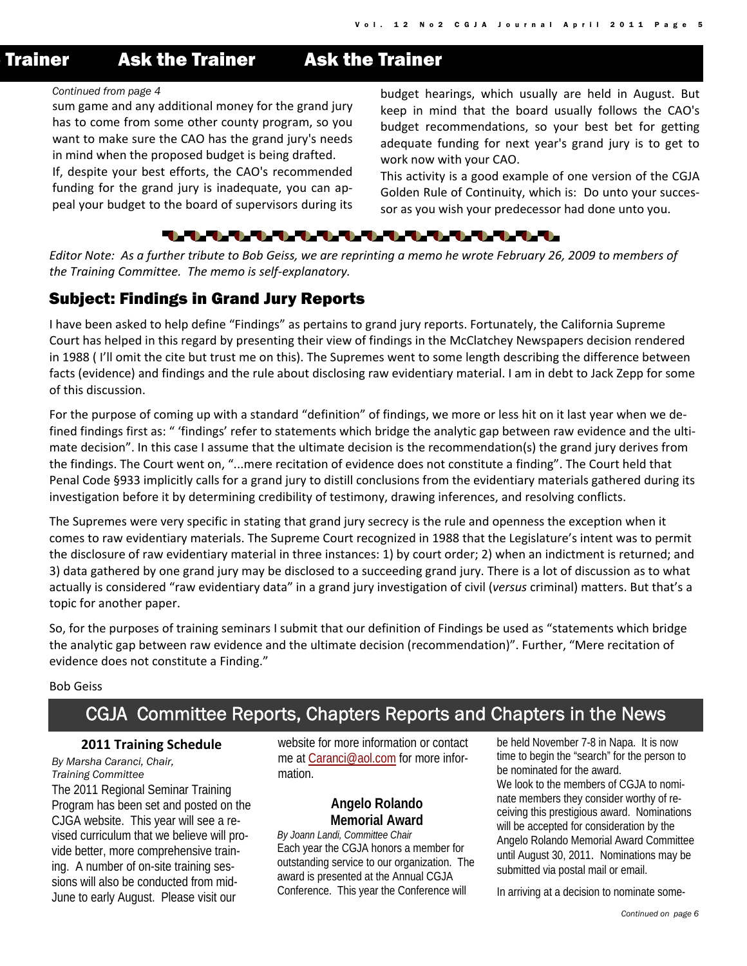## **Trainer Ask the Trainer Ask the Trainer**

#### *Continued from page 4*

sum game and any additional money for the grand jury has to come from some other county program, so you want to make sure the CAO has the grand jury's needs in mind when the proposed budget is being drafted.

If, despite your best efforts, the CAO's recommended funding for the grand jury is inadequate, you can ap‐ peal your budget to the board of supervisors during its

budget hearings, which usually are held in August. But keep in mind that the board usually follows the CAO's budget recommendations, so your best bet for getting adequate funding for next year's grand jury is to get to work now with your CAO.

This activity is a good example of one version of the CGJA Golden Rule of Continuity, which is: Do unto your succes‐ sor as you wish your predecessor had done unto you.

#### ▚▚▚▚▚▚▚▚▚▚▚▚▚▚<del>▚</del>▚▚▚▚▚▚▚▚<del>▚</del>

Editor Note: As a further tribute to Bob Geiss, we are reprinting a memo he wrote February 26, 2009 to members of *the Training Committee. The memo is self‐explanatory.*

#### Subject: Findings in Grand Jury Reports

I have been asked to help define "Findings" as pertains to grand jury reports. Fortunately, the California Supreme Court has helped in this regard by presenting their view of findings in the McClatchey Newspapers decision rendered in 1988 ( I'll omit the cite but trust me on this). The Supremes went to some length describing the difference between facts (evidence) and findings and the rule about disclosing raw evidentiary material. I am in debt to Jack Zepp for some of this discussion.

For the purpose of coming up with a standard "definition" of findings, we more or less hit on it last year when we de‐ fined findings first as: " 'findings' refer to statements which bridge the analytic gap between raw evidence and the ultimate decision". In this case I assume that the ultimate decision is the recommendation(s) the grand jury derives from the findings. The Court went on, "...mere recitation of evidence does not constitute a finding". The Court held that Penal Code §933 implicitly calls for a grand jury to distill conclusions from the evidentiary materials gathered during its investigation before it by determining credibility of testimony, drawing inferences, and resolving conflicts.

The Supremes were very specific in stating that grand jury secrecy is the rule and openness the exception when it comes to raw evidentiary materials. The Supreme Court recognized in 1988 that the Legislature's intent was to permit the disclosure of raw evidentiary material in three instances: 1) by court order; 2) when an indictment is returned; and 3) data gathered by one grand jury may be disclosed to a succeeding grand jury. There is a lot of discussion as to what actually is considered "raw evidentiary data" in a grand jury investigation of civil (*versus* criminal) matters. But that's a topic for another paper.

So, for the purposes of training seminars I submit that our definition of Findings be used as "statements which bridge the analytic gap between raw evidence and the ultimate decision (recommendation)". Further, "Mere recitation of evidence does not constitute a Finding."

#### Bob Geiss

## CGJA Committee Reports, Chapters Reports and Chapters in the News

#### **2011 Training Schedule**

*By Marsha Caranci, Chair, Training Committee* The 2011 Regional Seminar Training Program has been set and posted on the CJGA website. This year will see a revised curriculum that we believe will provide better, more comprehensive training. A number of on-site training sessions will also be conducted from mid-June to early August. Please visit our

website for more information or contact me at Caranci@aol.com for more information.

#### **Angelo Rolando Memorial Award**

*By Joann Landi, Committee Chair*  Each year the CGJA honors a member for outstanding service to our organization. The award is presented at the Annual CGJA Conference. This year the Conference will

be held November 7-8 in Napa. It is now time to begin the "search" for the person to be nominated for the award. We look to the members of CGJA to nominate members they consider worthy of receiving this prestigious award. Nominations will be accepted for consideration by the Angelo Rolando Memorial Award Committee until August 30, 2011. Nominations may be submitted via postal mail or email.

In arriving at a decision to nominate some-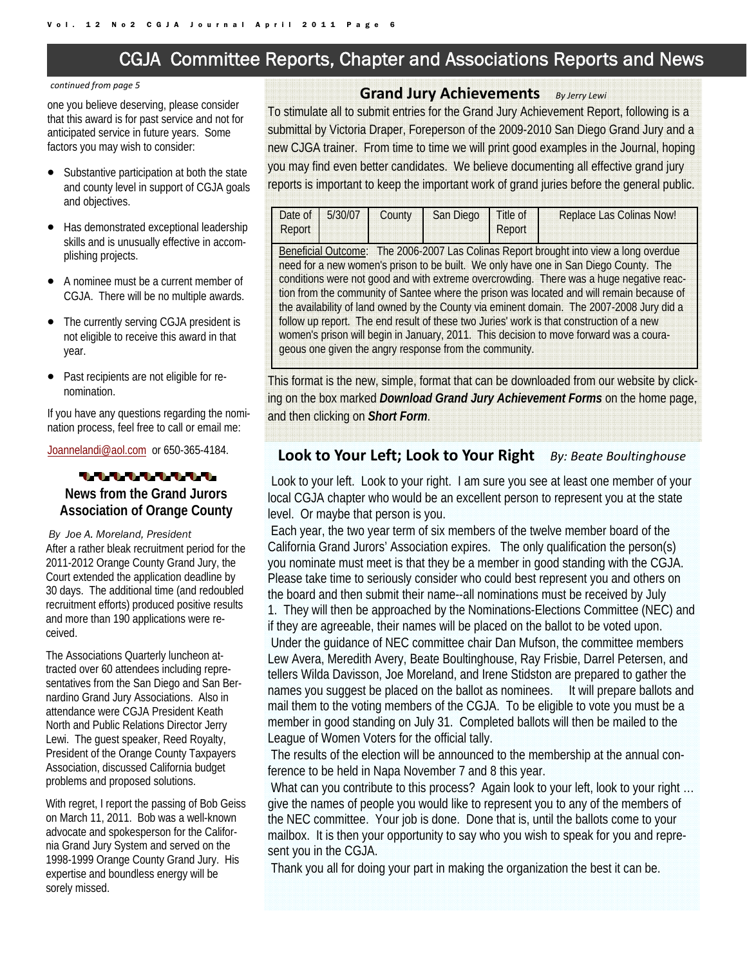## CGJA Committee Reports, Chapter and Associations Reports and News

#### *continued from page 5*

one you believe deserving, please consider that this award is for past service and not for anticipated service in future years. Some factors you may wish to consider:

- Substantive participation at both the state and county level in support of CGJA goals and objectives.
- Has demonstrated exceptional leadership skills and is unusually effective in accomplishing projects.
- A nominee must be a current member of CGJA. There will be no multiple awards.
- The currently serving CGJA president is not eligible to receive this award in that year.
- Past recipients are not eligible for renomination.

If you have any questions regarding the nomination process, feel free to call or email me:

Joannelandi@aol.com or 650-365-4184.

#### 1.1.1.1.1.1.1.1.1.

#### **News from the Grand Jurors Association of Orange County**

#### *By Joe A. Moreland, President*

After a rather bleak recruitment period for the 2011-2012 Orange County Grand Jury, the Court extended the application deadline by 30 days. The additional time (and redoubled recruitment efforts) produced positive results and more than 190 applications were received.

The Associations Quarterly luncheon attracted over 60 attendees including representatives from the San Diego and San Bernardino Grand Jury Associations. Also in attendance were CGJA President Keath North and Public Relations Director Jerry Lewi. The guest speaker, Reed Royalty, President of the Orange County Taxpayers Association, discussed California budget problems and proposed solutions.

With regret, I report the passing of Bob Geiss on March 11, 2011. Bob was a well-known advocate and spokesperson for the California Grand Jury System and served on the 1998-1999 Orange County Grand Jury. His expertise and boundless energy will be sorely missed.

#### **Grand Jury Achievements** *By Jerry Lewi*

To stimulate all to submit entries for the Grand Jury Achievement Report, following is a submittal by Victoria Draper, Foreperson of the 2009-2010 San Diego Grand Jury and a new CJGA trainer. From time to time we will print good examples in the Journal, hoping you may find even better candidates. We believe documenting all effective grand jury reports is important to keep the important work of grand juries before the general public.

| Date of<br>Report | 5/30/07 | County | San Diego                                              | Title of<br>Report | <b>Replace Las Colinas Now!</b>                                                                                                                                                                                                                                                                                                                                                                                                                                                                                                                                                                                                                          |
|-------------------|---------|--------|--------------------------------------------------------|--------------------|----------------------------------------------------------------------------------------------------------------------------------------------------------------------------------------------------------------------------------------------------------------------------------------------------------------------------------------------------------------------------------------------------------------------------------------------------------------------------------------------------------------------------------------------------------------------------------------------------------------------------------------------------------|
|                   |         |        | geous one given the angry response from the community. |                    | Beneficial Outcome: The 2006-2007 Las Colinas Report brought into view a long overdue<br>need for a new women's prison to be built. We only have one in San Diego County. The<br>conditions were not good and with extreme overcrowding. There was a huge negative reac-<br>tion from the community of Santee where the prison was located and will remain because of<br>the availability of land owned by the County via eminent domain. The 2007-2008 Jury did a<br>follow up report. The end result of these two Juries' work is that construction of a new<br>women's prison will begin in January, 2011. This decision to move forward was a coura- |

This format is the new, simple, format that can be downloaded from our website by clicking on the box marked *Download Grand Jury Achievement Forms* on the home page, and then clicking on *Short Form*.

#### **Look to Your Left; Look to Your Right** *By: Beate Boultinghouse*

Look to your left. Look to your right. I am sure you see at least one member of your local CGJA chapter who would be an excellent person to represent you at the state level. Or maybe that person is you.

 Each year, the two year term of six members of the twelve member board of the California Grand Jurors' Association expires. The only qualification the person(s) you nominate must meet is that they be a member in good standing with the CGJA. Please take time to seriously consider who could best represent you and others on the board and then submit their name--all nominations must be received by July 1. They will then be approached by the Nominations-Elections Committee (NEC) and if they are agreeable, their names will be placed on the ballot to be voted upon. Under the guidance of NEC committee chair Dan Mufson, the committee members Lew Avera, Meredith Avery, Beate Boultinghouse, Ray Frisbie, Darrel Petersen, and tellers Wilda Davisson, Joe Moreland, and Irene Stidston are prepared to gather the names you suggest be placed on the ballot as nominees. It will prepare ballots and mail them to the voting members of the CGJA. To be eligible to vote you must be a member in good standing on July 31. Completed ballots will then be mailed to the League of Women Voters for the official tally.

 The results of the election will be announced to the membership at the annual conference to be held in Napa November 7 and 8 this year.

What can you contribute to this process? Again look to your left, look to your right ... give the names of people you would like to represent you to any of the members of the NEC committee. Your job is done. Done that is, until the ballots come to your mailbox. It is then your opportunity to say who you wish to speak for you and represent you in the CGJA.

Thank you all for doing your part in making the organization the best it can be.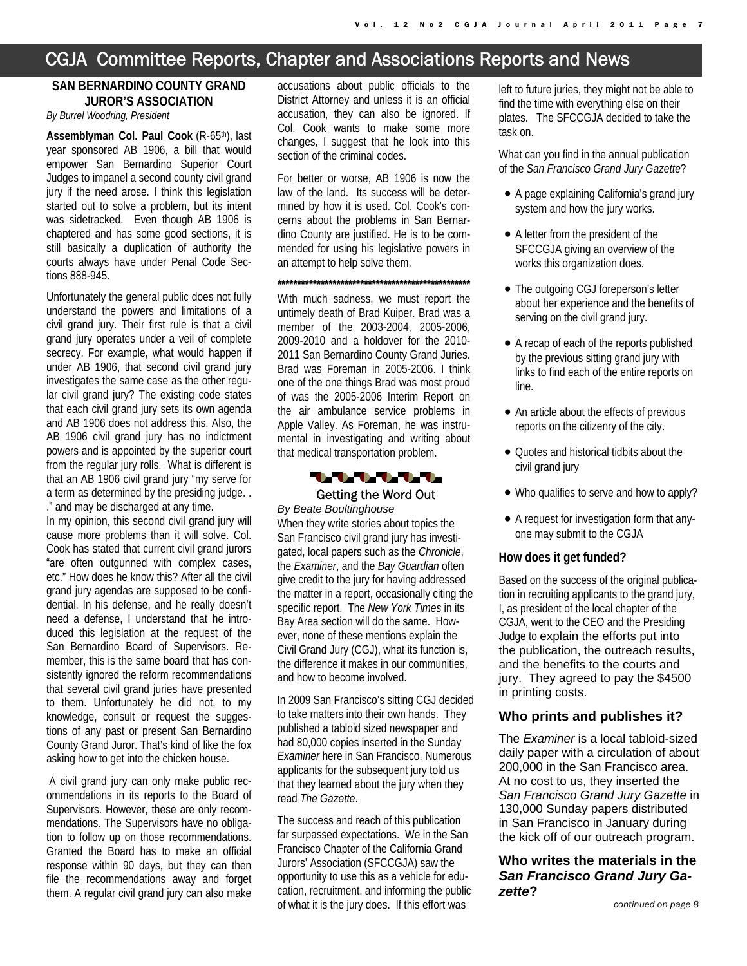## CGJA Committee Reports, Chapter and Associations Reports and News

#### **SAN BERNARDINO COUNTY GRAND JUROR'S ASSOCIATION**

*By Burrel Woodring, President*

**Assemblyman Col. Paul Cook** (R-65th), last year sponsored AB 1906, a bill that would empower San Bernardino Superior Court Judges to impanel a second county civil grand jury if the need arose. I think this legislation started out to solve a problem, but its intent was sidetracked. Even though AB 1906 is chaptered and has some good sections, it is still basically a duplication of authority the courts always have under Penal Code Sections 888-945.

Unfortunately the general public does not fully understand the powers and limitations of a civil grand jury. Their first rule is that a civil grand jury operates under a veil of complete secrecy. For example, what would happen if under AB 1906, that second civil grand jury investigates the same case as the other regular civil grand jury? The existing code states that each civil grand jury sets its own agenda and AB 1906 does not address this. Also, the AB 1906 civil grand jury has no indictment powers and is appointed by the superior court from the regular jury rolls. What is different is that an AB 1906 civil grand jury "my serve for a term as determined by the presiding judge. . ." and may be discharged at any time.

In my opinion, this second civil grand jury will cause more problems than it will solve. Col. Cook has stated that current civil grand jurors "are often outgunned with complex cases, etc." How does he know this? After all the civil grand jury agendas are supposed to be confidential. In his defense, and he really doesn't need a defense, I understand that he introduced this legislation at the request of the San Bernardino Board of Supervisors. Remember, this is the same board that has consistently ignored the reform recommendations that several civil grand juries have presented to them. Unfortunately he did not, to my knowledge, consult or request the suggestions of any past or present San Bernardino County Grand Juror. That's kind of like the fox asking how to get into the chicken house.

 A civil grand jury can only make public recommendations in its reports to the Board of Supervisors. However, these are only recommendations. The Supervisors have no obligation to follow up on those recommendations. Granted the Board has to make an official response within 90 days, but they can then file the recommendations away and forget them. A regular civil grand jury can also make accusations about public officials to the District Attorney and unless it is an official accusation, they can also be ignored. If Col. Cook wants to make some more changes, I suggest that he look into this section of the criminal codes.

For better or worse, AB 1906 is now the law of the land. Its success will be determined by how it is used. Col. Cook's concerns about the problems in San Bernardino County are justified. He is to be commended for using his legislative powers in an attempt to help solve them.

**\*\*\*\*\*\*\*\*\*\*\*\*\*\*\*\*\*\*\*\*\*\*\*\*\*\*\*\*\*\*\*\*\*\*\*\*\*\*\*\*\*\*\*\*\*\*\*\*\***

With much sadness, we must report the untimely death of Brad Kuiper. Brad was a member of the 2003-2004, 2005-2006, 2009-2010 and a holdover for the 2010- 2011 San Bernardino County Grand Juries. Brad was Foreman in 2005-2006. I think one of the one things Brad was most proud of was the 2005-2006 Interim Report on the air ambulance service problems in Apple Valley. As Foreman, he was instrumental in investigating and writing about that medical transportation problem.



#### Getting the Word Out *By Beate Boultinghouse*

When they write stories about topics the San Francisco civil grand jury has investigated, local papers such as the *Chronicle*, the *Examiner*, and the *Bay Guardian* often give credit to the jury for having addressed the matter in a report, occasionally citing the specific report. The *New York Times* in its Bay Area section will do the same. However, none of these mentions explain the Civil Grand Jury (CGJ), what its function is, the difference it makes in our communities, and how to become involved.

In 2009 San Francisco's sitting CGJ decided to take matters into their own hands. They published a tabloid sized newspaper and had 80,000 copies inserted in the Sunday *Examiner* here in San Francisco. Numerous applicants for the subsequent jury told us that they learned about the jury when they read *The Gazette*.

The success and reach of this publication far surpassed expectations. We in the San Francisco Chapter of the California Grand Jurors' Association (SFCCGJA) saw the opportunity to use this as a vehicle for education, recruitment, and informing the public of what it is the jury does. If this effort was

left to future juries, they might not be able to find the time with everything else on their plates. The SFCCGJA decided to take the task on.

What can you find in the annual publication of the *San Francisco Grand Jury Gazette*?

- A page explaining California's grand jury system and how the jury works.
- A letter from the president of the SFCCGJA giving an overview of the works this organization does.
- The outgoing CGJ foreperson's letter about her experience and the benefits of serving on the civil grand jury.
- A recap of each of the reports published by the previous sitting grand jury with links to find each of the entire reports on line.
- An article about the effects of previous reports on the citizenry of the city.
- Quotes and historical tidbits about the civil grand jury
- Who qualifies to serve and how to apply?
- A request for investigation form that anyone may submit to the CGJA

#### **How does it get funded?**

Based on the success of the original publication in recruiting applicants to the grand jury, I, as president of the local chapter of the CGJA, went to the CEO and the Presiding Judge to explain the efforts put into the publication, the outreach results, and the benefits to the courts and jury. They agreed to pay the \$4500 in printing costs.

#### **Who prints and publishes it?**

The *Examiner* is a local tabloid-sized daily paper with a circulation of about 200,000 in the San Francisco area. At no cost to us, they inserted the *San Francisco Grand Jury Gazette* in 130,000 Sunday papers distributed in San Francisco in January during the kick off of our outreach program.

#### **Who writes the materials in the**  *San Francisco Grand Jury Gazette***?**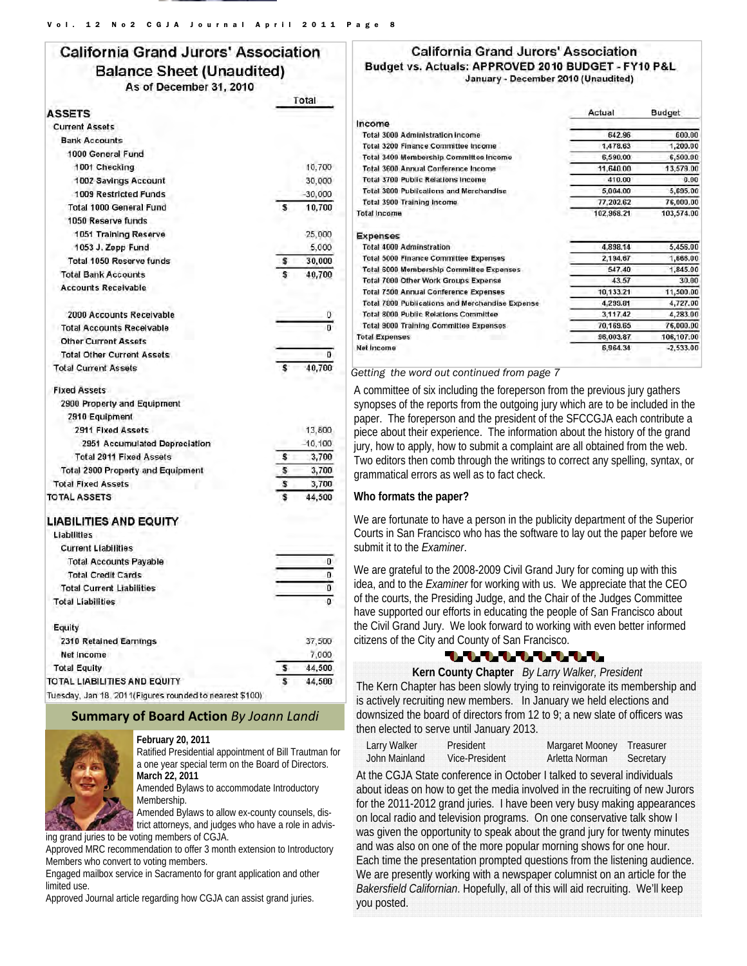#### **California Grand Jurors' Association Balance Sheet (Unaudited)** As of December 31, 2010 Total

| <b>ASSETS</b>                                |    |            |
|----------------------------------------------|----|------------|
| <b>Current Assets</b>                        |    |            |
| <b>Bank Accounts</b>                         |    |            |
| 1000 General Fund                            |    |            |
| 1001 Checking                                |    | 10.700     |
| 1002 Savings Account                         |    | 30,000     |
| 1009 Restricted Funds                        |    | $-30,000$  |
| Total 1000 General Fund                      | \$ | 10,700     |
| 1050 Reserve funds                           |    |            |
| 1051 Training Reserve                        |    | 25,000     |
| 1053 J. Zepp Fund                            |    | 5,000      |
| Total 1050 Reserve funds                     | \$ | 30,000     |
| <b>Total Bank Accounts</b>                   | \$ | 40,700     |
| <b>Accounts Receivable</b>                   |    |            |
| 2000 Accounts Receivable                     |    | 0          |
| <b>Total Accounts Receivable</b>             |    | $\bf{0}$   |
| <b>Other Current Assets</b>                  |    |            |
| <b>Total Other Current Assets</b>            |    | $\bf{0}$   |
| <b>Total Current Assets</b>                  | S  | 40,700     |
| <b>Fixed Assets</b>                          |    |            |
| 2900 Property and Equipment                  |    |            |
| 2910 Equipment                               |    |            |
| 2911 Fixed Assets                            |    | 13,800     |
| 2951 Accumulated Depreciation                |    | $-10, 100$ |
| <b>Total 2911 Fixed Assets</b>               | S  | 3,700      |
| Total 2900 Property and Equipment            | \$ | 3,700      |
| <b>Total Fixed Assets</b>                    | \$ | 3,700      |
| <b>TOTAL ASSETS</b>                          | s  | 44,500     |
| <b>LIABILITIES AND EQUITY</b><br>Liabilities |    |            |
| <b>Current Liabilities</b>                   |    |            |
| <b>Total Accounts Payable</b>                |    | 0          |
| <b>Total Credit Cards</b>                    |    | 0          |
| <b>Total Current Liabilities</b>             |    | 0          |
| <b>Total Liabilities</b>                     |    | o          |
| Equity                                       |    |            |
| 2310 Retained Earnings                       |    | 37,500     |
| Net Income                                   |    | 7.000      |

**Total Equity** 44,500 s TOTAL LIABILITIES AND EQUITY 44,500 Tuesday, Jan 18, 2011(Figures rounded to nearest \$100)

#### **Summary of Board Action** *By Joann Landi*



**February 20, 2011**  Ratified Presidential appointment of Bill Trautman for a one year special term on the Board of Directors. **March 22, 2011** 

Amended Bylaws to accommodate Introductory Membership.

Amended Bylaws to allow ex-county counsels, district attorneys, and judges who have a role in advis-

ing grand juries to be voting members of CGJA. Approved MRC recommendation to offer 3 month extension to Introductory

Members who convert to voting members. Engaged mailbox service in Sacramento for grant application and other limited use.

Approved Journal article regarding how CGJA can assist grand juries.

#### **California Grand Jurors' Association** Budget vs. Actuals: APPROVED 2010 BUDGET - FY10 P&L January - December 2010 (Unaudited)

|                                                 | Actual     | <b>Budget</b> |
|-------------------------------------------------|------------|---------------|
| Income                                          |            |               |
| <b>Total 3000 Administration income</b>         | 642.96     | 600.00        |
| Total 3200 Finance Committee Income             | 1,478.63   | 1,200.00      |
| Total 3400 Membership Committee Income          | 6,590.00   | 6,500.00      |
| <b>Total 3600 Annual Conference Income</b>      | 11,640.00  | 13,579.00     |
| <b>Total 3700 Public Relations Income</b>       | 410.00     | 0.00          |
| Total 3800 Publications and Merchandise         | 5,004.00   | 5,695.00      |
| Total 3900 Training Income                      | 77.202.62  | 76,000.00     |
| <b>Total Income</b>                             | 102,968.21 | 103,574.00    |
| <b>Expenses</b>                                 |            |               |
| <b>Total 4000 Adminstration</b>                 | 4,898.14   | 5,456.00      |
| <b>Total 5000 Finance Committee Expenses</b>    | 2,194.67   | 1,666.00      |
| Total 6000 Membership Committee Expenses        | 547.40     | 1,845.00      |
| Total 7000 Other Work Groups Expense            | 43.57      | 30.00         |
| <b>Total 7500 Annual Conference Expenses</b>    | 10,133.21  | 11,500.00     |
| Total 7800 Publications and Merchandise Expense | 4,299.81   | 4,727.00      |
| Total 8000 Public Relations Committee           | 3,117.42   | 4,283.00      |
| Total 9000 Training Committee Expenses          | 70,169.65  | 76,000.00     |
| <b>Total Expenses</b>                           | 96,003.87  | 106,107.00    |
| Net Income                                      | 6,964.34   | $-2,533.00$   |
|                                                 |            |               |

#### *Getting the word out continued from page 7*

A committee of six including the foreperson from the previous jury gathers synopses of the reports from the outgoing jury which are to be included in the paper. The foreperson and the president of the SFCCGJA each contribute a piece about their experience. The information about the history of the grand jury, how to apply, how to submit a complaint are all obtained from the web. Two editors then comb through the writings to correct any spelling, syntax, or grammatical errors as well as to fact check.

#### **Who formats the paper?**

We are fortunate to have a person in the publicity department of the Superior Courts in San Francisco who has the software to lay out the paper before we submit it to the *Examiner*.

We are grateful to the 2008-2009 Civil Grand Jury for coming up with this idea, and to the *Examiner* for working with us. We appreciate that the CEO of the courts, the Presiding Judge, and the Chair of the Judges Committee have supported our efforts in educating the people of San Francisco about the Civil Grand Jury. We look forward to working with even better informed citizens of the City and County of San Francisco.

### 111111111

**Kern County Chapter** *By Larry Walker, President* The Kern Chapter has been slowly trying to reinvigorate its membership and is actively recruiting new members. In January we held elections and downsized the board of directors from 12 to 9; a new slate of officers was then elected to serve until January 2013.

| Larry Walker  | President      | Margaret Mooney Treasurer |           |
|---------------|----------------|---------------------------|-----------|
| John Mainland | Vice-President | Arletta Norman            | Secretary |

At the CGJA State conference in October I talked to several individuals about ideas on how to get the media involved in the recruiting of new Jurors for the 2011-2012 grand juries. I have been very busy making appearances on local radio and television programs. On one conservative talk show I was given the opportunity to speak about the grand jury for twenty minutes and was also on one of the more popular morning shows for one hour. Each time the presentation prompted questions from the listening audience. We are presently working with a newspaper columnist on an article for the *Bakersfield Californian*. Hopefully, all of this will aid recruiting. We'll keep you posted.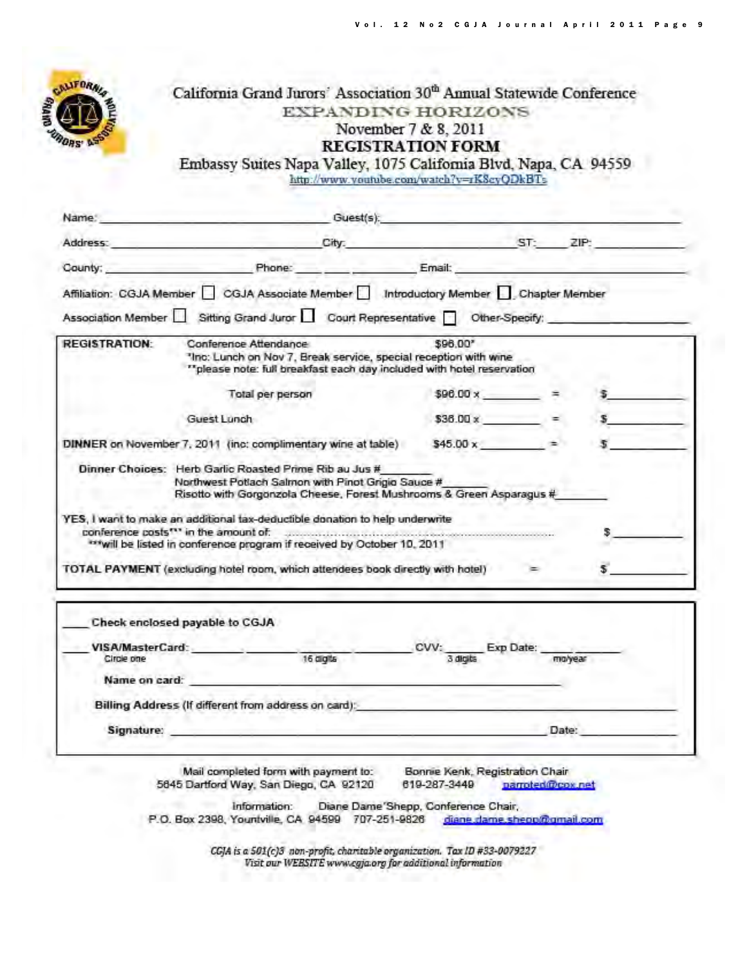

## California Grand Jurors' Association 30<sup>th</sup> Annual Statewide Conference **EXPANDING HORIZONS** November 7 & 8, 2011 **REGISTRATION FORM**

Embassy Suites Napa Valley, 1075 California Blvd, Napa, CA 94559 http://www.youtube.com/watch?v=rK8cyQDkBTs

| Address:             |                                                                                                                                                                                                                                       | City: ST: ZIP: |                         |         |
|----------------------|---------------------------------------------------------------------------------------------------------------------------------------------------------------------------------------------------------------------------------------|----------------|-------------------------|---------|
| County:              | Phone: Phone: Email:                                                                                                                                                                                                                  |                |                         |         |
|                      | Affiliation: CGJA Member CGJA Associate Member Introductory Member Chapter Member                                                                                                                                                     |                |                         |         |
|                      |                                                                                                                                                                                                                                       |                |                         |         |
|                      | Association Member Sitting Grand Juror Court Representative Other-Specify:                                                                                                                                                            |                |                         |         |
| <b>REGISTRATION:</b> | Conference Attendance<br>"Inc: Lunch on Nov 7, Break service, special reception with wine<br>"please note: full breakfast each day included with hotel reservation                                                                    | \$96.00*       |                         |         |
|                      | Total per person                                                                                                                                                                                                                      |                | $$96.00 \times$ =       |         |
|                      | Guest Lunch                                                                                                                                                                                                                           |                | $$36.00 \times$ =       |         |
|                      | DINNER on November 7, 2011 (inc: complimentary wine at table)                                                                                                                                                                         |                | $$45.00 \times 10^{-1}$ |         |
|                      | Dinner Choices: Herb Garlic Roasted Prime Rib au Jus #<br>Northwest Potlach Salmon with Pinot Grigio Sauce #<br>Risotto with Gorgonzola Cheese, Forest Mushrooms & Green Asparagus #                                                  |                |                         |         |
|                      | YES, I want to make an additional tax-deductible donation to help underwrite<br>conference costs"" in the amount of: www.www.www.www.www.www.www.www.www.<br>*** will be listed in conference program if received by October 10, 2011 |                |                         |         |
|                      | TOTAL PAYMENT (excluding hotel room, which attendees book directly with hotel)                                                                                                                                                        |                |                         |         |
|                      | Check enclosed payable to CGJA                                                                                                                                                                                                        |                |                         |         |
|                      |                                                                                                                                                                                                                                       | CVV:           |                         |         |
|                      | VISA/MasterCard:                                                                                                                                                                                                                      |                | Exp Date:               |         |
| Circle one           | 16 digits                                                                                                                                                                                                                             |                | 3 digits                | molvear |

Billing Address (If different from address on card):

Signature:

Mail completed form with payment to: 5645 Dartford Way, San Diego, CA 92120

Bonnie Kenk, Registration Chair 619-287-3449 narroted@cox.net

Date:

Diane Dame 'Shepp, Conference Chair, Information: P.O. Box 2398, Yountville, CA 94599 707-251-9826 diane dame shepp@gmail.com

> CGJA is a 501(c)3 non-profit, charitable organization. Tax ID #33-0079227 Visit our WEBSITE www.cgja.org for additional information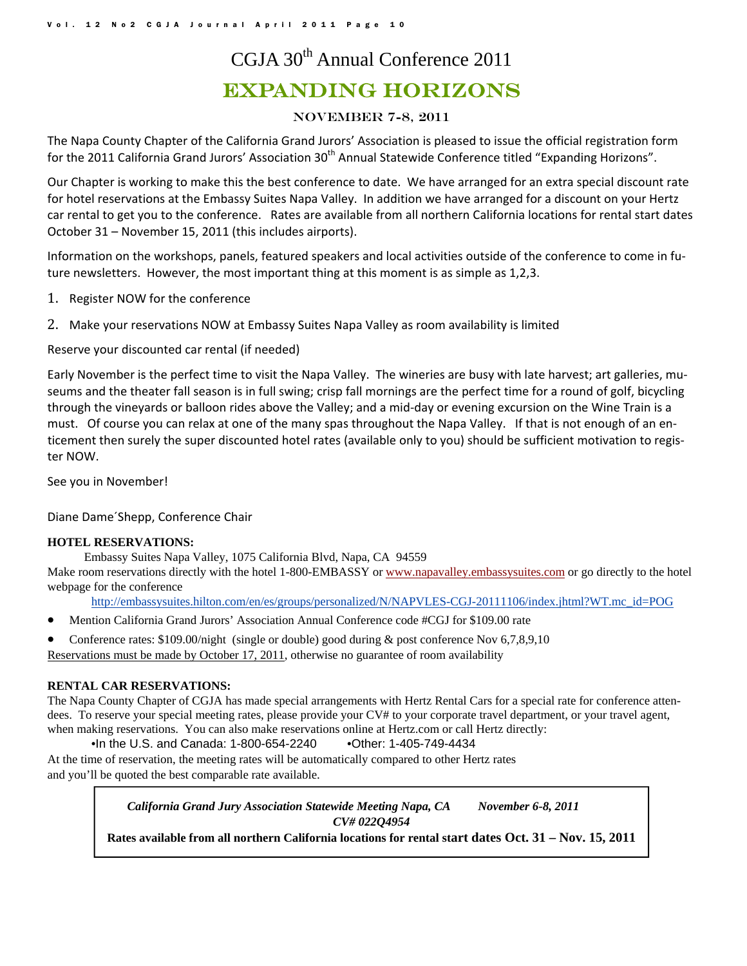## CGJA 30th Annual Conference 2011 Expanding Horizons

#### November 7-8, 2011

The Napa County Chapter of the California Grand Jurors' Association is pleased to issue the official registration form for the 2011 California Grand Jurors' Association 30<sup>th</sup> Annual Statewide Conference titled "Expanding Horizons".

Our Chapter is working to make this the best conference to date. We have arranged for an extra special discount rate for hotel reservations at the Embassy Suites Napa Valley. In addition we have arranged for a discount on your Hertz car rental to get you to the conference. Rates are available from all northern California locations for rental start dates October 31 – November 15, 2011 (this includes airports).

Information on the workshops, panels, featured speakers and local activities outside of the conference to come in fu‐ ture newsletters. However, the most important thing at this moment is as simple as 1,2,3.

- 1. Register NOW for the conference
- 2. Make your reservations NOW at Embassy Suites Napa Valley as room availability is limited

Reserve your discounted car rental (if needed)

Early November is the perfect time to visit the Napa Valley. The wineries are busy with late harvest; art galleries, museums and the theater fall season is in full swing; crisp fall mornings are the perfect time for a round of golf, bicycling through the vineyards or balloon rides above the Valley; and a mid‐day or evening excursion on the Wine Train is a must. Of course you can relax at one of the many spas throughout the Napa Valley. If that is not enough of an en‐ ticement then surely the super discounted hotel rates (available only to you) should be sufficient motivation to regis‐ ter NOW.

See you in November!

Diane Dame´Shepp, Conference Chair

#### **HOTEL RESERVATIONS:**

Embassy Suites Napa Valley, 1075 California Blvd, Napa, CA 94559

Make room reservations directly with the hotel 1-800-EMBASSY or www.napavalley.embassysuites.com or go directly to the hotel webpage for the conference

http://embassysuites.hilton.com/en/es/groups/personalized/N/NAPVLES-CGJ-20111106/index.jhtml?WT.mc\_id=POG

- Mention California Grand Jurors' Association Annual Conference code #CGJ for \$109.00 rate
- Conference rates: \$109.00/night (single or double) good during & post conference Nov 6,7,8,9,10

Reservations must be made by October 17, 2011, otherwise no guarantee of room availability

#### **RENTAL CAR RESERVATIONS:**

The Napa County Chapter of CGJA has made special arrangements with Hertz Rental Cars for a special rate for conference attendees. To reserve your special meeting rates, please provide your CV# to your corporate travel department, or your travel agent, when making reservations. You can also make reservations online at Hertz.com or call Hertz directly:

•In the U.S. and Canada: 1-800-654-2240 •Other: 1-405-749-4434

At the time of reservation, the meeting rates will be automatically compared to other Hertz rates and you'll be quoted the best comparable rate available.

> *California Grand Jury Association Statewide Meeting Napa, CA November 6-8, 2011 CV# 022Q4954*

**Rates available from all northern California locations for rental start dates Oct. 31 – Nov. 15, 2011**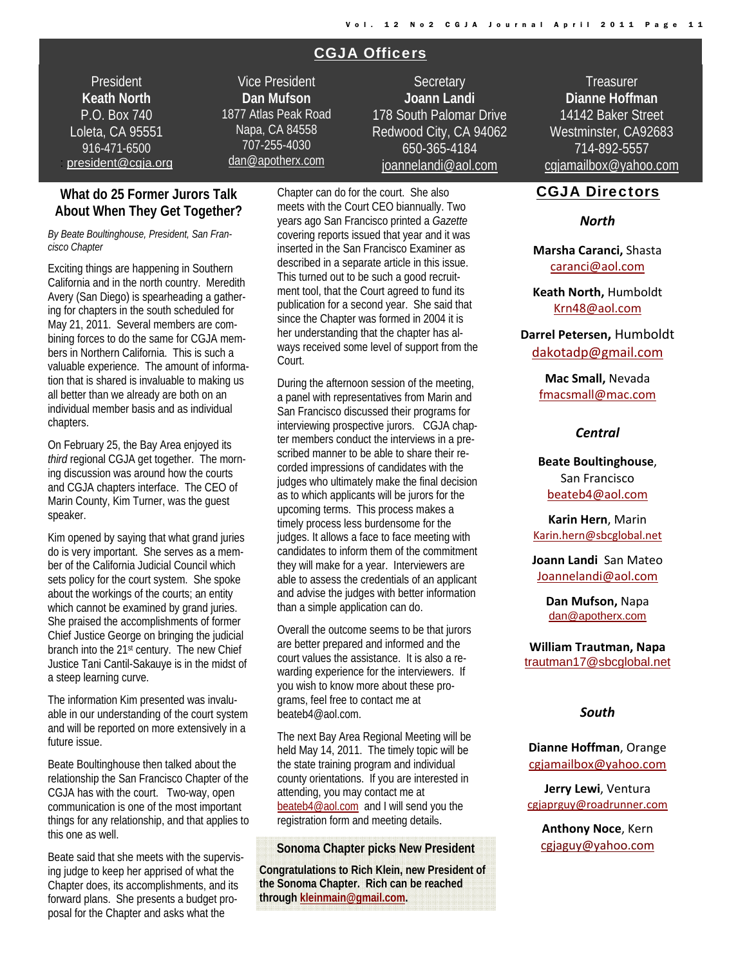#### CGJA Officers

President **Keath North**  P.O. Box 740 Loleta, CA 95551 916-471-6500 : president@cgja.org

Vice President **Dan Mufson** 1877 Atlas Peak Road Napa, CA 84558 707-255-4030 dan@apotherx.com

**Secretary Joann Landi** 178 South Palomar Drive Redwood City, CA 94062 650-365-4184 joannelandi@aol.com

#### **What do 25 Former Jurors Talk About When They Get Together?**

#### *By Beate Boultinghouse, President, San Francisco Chapter*

Exciting things are happening in Southern California and in the north country. Meredith Avery (San Diego) is spearheading a gathering for chapters in the south scheduled for May 21, 2011. Several members are combining forces to do the same for CGJA members in Northern California. This is such a valuable experience. The amount of information that is shared is invaluable to making us all better than we already are both on an individual member basis and as individual chapters.

On February 25, the Bay Area enjoyed its *third* regional CGJA get together. The morning discussion was around how the courts and CGJA chapters interface. The CEO of Marin County, Kim Turner, was the guest speaker.

Kim opened by saying that what grand juries do is very important. She serves as a member of the California Judicial Council which sets policy for the court system. She spoke about the workings of the courts; an entity which cannot be examined by grand juries. She praised the accomplishments of former Chief Justice George on bringing the judicial branch into the 21<sup>st</sup> century. The new Chief Justice Tani Cantil-Sakauye is in the midst of a steep learning curve.

The information Kim presented was invaluable in our understanding of the court system and will be reported on more extensively in a future issue.

Beate Boultinghouse then talked about the relationship the San Francisco Chapter of the CGJA has with the court. Two-way, open communication is one of the most important things for any relationship, and that applies to this one as well.

Beate said that she meets with the supervising judge to keep her apprised of what the Chapter does, its accomplishments, and its forward plans. She presents a budget proposal for the Chapter and asks what the

Chapter can do for the court. She also meets with the Court CEO biannually. Two years ago San Francisco printed a *Gazette* covering reports issued that year and it was inserted in the San Francisco Examiner as described in a separate article in this issue. This turned out to be such a good recruitment tool, that the Court agreed to fund its publication for a second year. She said that since the Chapter was formed in 2004 it is her understanding that the chapter has always received some level of support from the Court.

During the afternoon session of the meeting, a panel with representatives from Marin and San Francisco discussed their programs for interviewing prospective jurors. CGJA chapter members conduct the interviews in a prescribed manner to be able to share their recorded impressions of candidates with the judges who ultimately make the final decision as to which applicants will be jurors for the upcoming terms. This process makes a timely process less burdensome for the judges. It allows a face to face meeting with candidates to inform them of the commitment they will make for a year. Interviewers are able to assess the credentials of an applicant and advise the judges with better information than a simple application can do.

Overall the outcome seems to be that jurors are better prepared and informed and the court values the assistance. It is also a rewarding experience for the interviewers. If you wish to know more about these programs, feel free to contact me at beateb4@aol.com.

The next Bay Area Regional Meeting will be held May 14, 2011. The timely topic will be the state training program and individual county orientations. If you are interested in attending, you may contact me at beateb4@aol.com and I will send you the registration form and meeting details.

#### **Sonoma Chapter picks New President**

**Congratulations to Rich Klein, new President of the Sonoma Chapter. Rich can be reached through kleinmain@gmail.com.** 

**Treasurer Dianne Hoffman**  14142 Baker Street Westminster, CA92683 714-892-5557 cgjamailbox@yahoo.com

#### CGJA Directors

#### *North*

**Marsha Caranci,** Shasta caranci@aol.com

**Keath North,** Humboldt Krn48@aol.com

#### **Darrel Petersen,** Humboldt dakotadp@gmail.com

**Mac Small,** Nevada fmacsmall@mac.com

#### *Central*

**Beate Boultinghouse**, San Francisco beateb4@aol.com

**Karin Hern**, Marin Karin.hern@sbcglobal.net

**Joann Landi** San Mateo Joannelandi@aol.com

> **Dan Mufson,** Napa dan@apotherx.com

**William Trautman, Napa** trautman17@sbcglobal.net

#### *South*

**Dianne Hoffman**, Orange cgjamailbox@yahoo.com

**Jerry Lewi**, Ventura cgjaprguy@roadrunner.com

**Anthony Noce**, Kern cgjaguy@yahoo.com